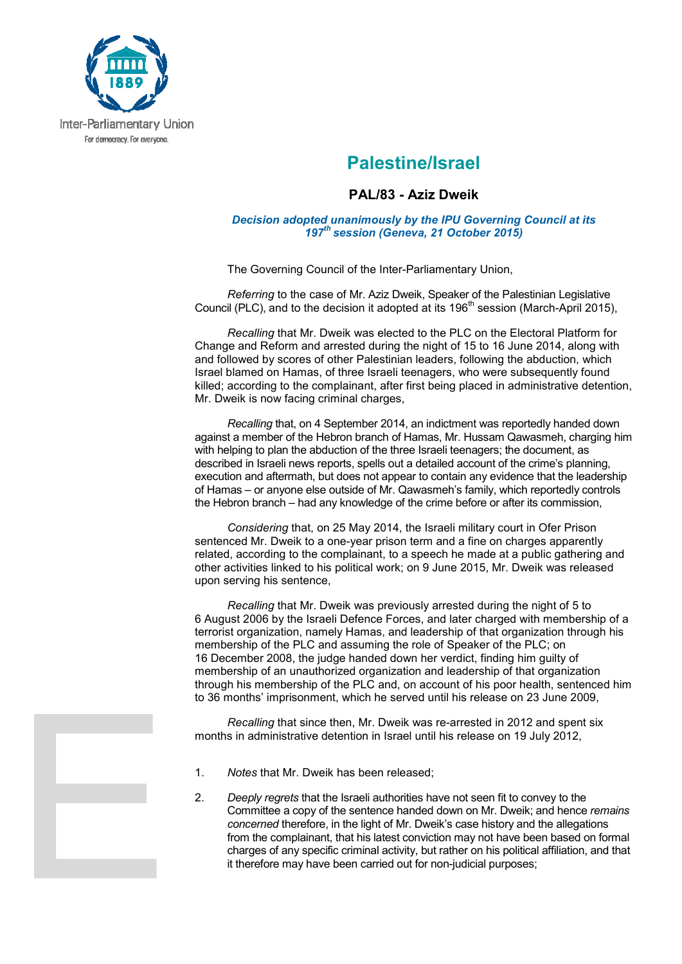

## **Palestine/Israel**

## **PAL/83 - Aziz Dweik**

## *Decision adopted unanimously by the IPU Governing Council at its 197th session (Geneva, 21 October 2015)*

The Governing Council of the Inter-Parliamentary Union,

*Referring* to the case of Mr. Aziz Dweik, Speaker of the Palestinian Legislative Council (PLC), and to the decision it adopted at its 196<sup>th</sup> session (March-April 2015).

*Recalling* that Mr. Dweik was elected to the PLC on the Electoral Platform for Change and Reform and arrested during the night of 15 to 16 June 2014, along with and followed by scores of other Palestinian leaders, following the abduction, which Israel blamed on Hamas, of three Israeli teenagers, who were subsequently found killed; according to the complainant, after first being placed in administrative detention, Mr. Dweik is now facing criminal charges,

*Recalling* that, on 4 September 2014, an indictment was reportedly handed down against a member of the Hebron branch of Hamas, Mr. Hussam Qawasmeh, charging him with helping to plan the abduction of the three Israeli teenagers; the document, as described in Israeli news reports, spells out a detailed account of the crime's planning, execution and aftermath, but does not appear to contain any evidence that the leadership of Hamas – or anyone else outside of Mr. Qawasmeh's family, which reportedly controls the Hebron branch – had any knowledge of the crime before or after its commission,

*Considering* that, on 25 May 2014, the Israeli military court in Ofer Prison sentenced Mr. Dweik to a one-year prison term and a fine on charges apparently related, according to the complainant, to a speech he made at a public gathering and other activities linked to his political work; on 9 June 2015, Mr. Dweik was released upon serving his sentence,

*Recalling* that Mr. Dweik was previously arrested during the night of 5 to 6 August 2006 by the Israeli Defence Forces, and later charged with membership of a terrorist organization, namely Hamas, and leadership of that organization through his membership of the PLC and assuming the role of Speaker of the PLC; on 16 December 2008, the judge handed down her verdict, finding him guilty of membership of an unauthorized organization and leadership of that organization through his membership of the PLC and, on account of his poor health, sentenced him to 36 months' imprisonment, which he served until his release on 23 June 2009,

*Recalling* that since then, Mr. Dweik was re-arrested in 2012 and spent six months in administrative detention in Israel until his release on 19 July 2012,

- 1. *Notes* that Mr. Dweik has been released;
- 2. *Deeply regrets* that the Israeli authorities have not seen fit to convey to the Committee a copy of the sentence handed down on Mr. Dweik; and hence *remains concerned* therefore, in the light of Mr. Dweik's case history and the allegations from the complainant, that his latest conviction may not have been based on formal charges of any specific criminal activity, but rather on his political affiliation, and that it therefore may have been carried out for non-judicial purposes;